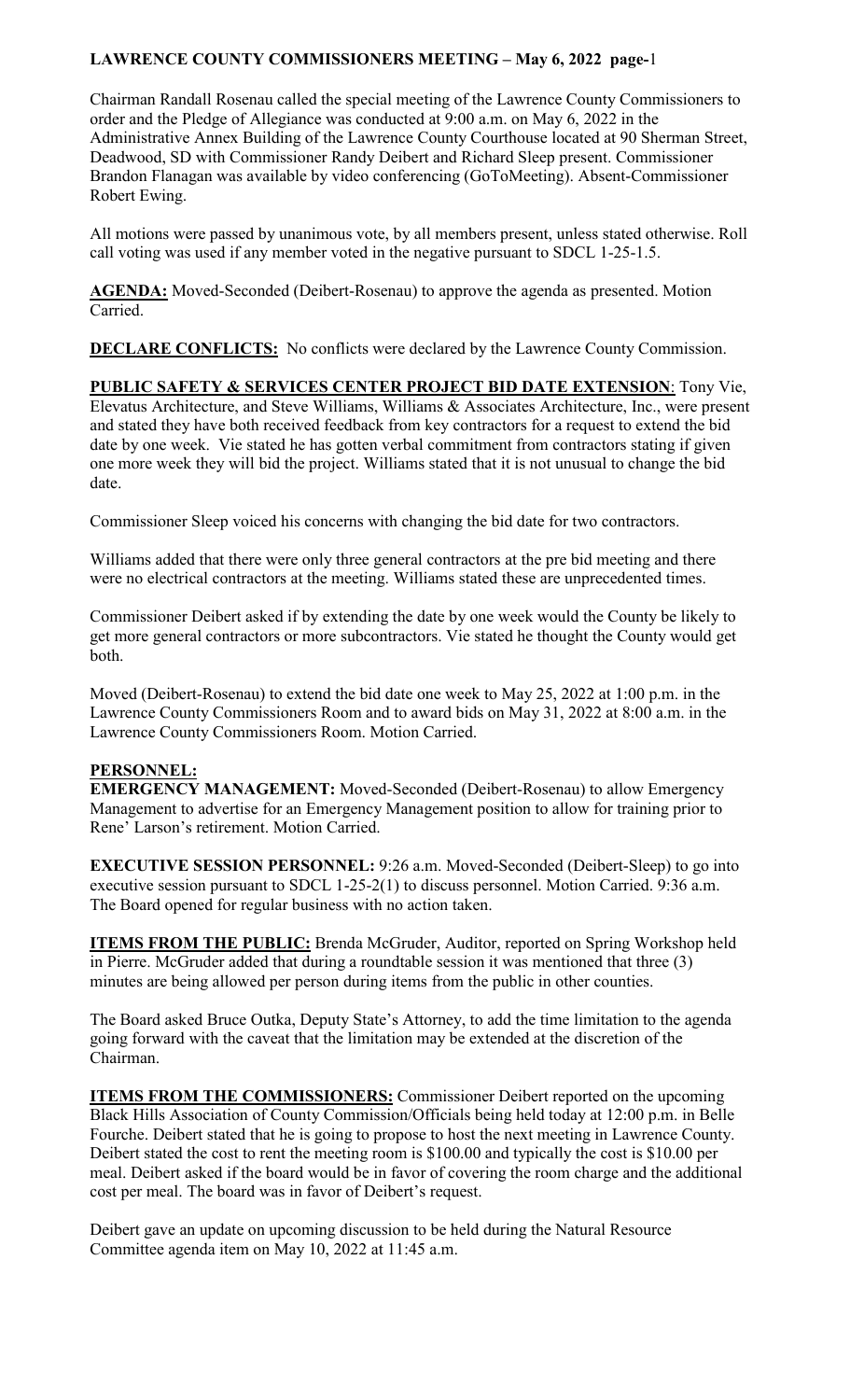## **LAWRENCE COUNTY COMMISSIONERS MEETING – May 6, 2022 page-**1

Chairman Randall Rosenau called the special meeting of the Lawrence County Commissioners to order and the Pledge of Allegiance was conducted at 9:00 a.m. on May 6, 2022 in the Administrative Annex Building of the Lawrence County Courthouse located at 90 Sherman Street, Deadwood, SD with Commissioner Randy Deibert and Richard Sleep present. Commissioner Brandon Flanagan was available by video conferencing (GoToMeeting). Absent-Commissioner Robert Ewing.

All motions were passed by unanimous vote, by all members present, unless stated otherwise. Roll call voting was used if any member voted in the negative pursuant to SDCL 1-25-1.5.

**AGENDA:** Moved-Seconded (Deibert-Rosenau) to approve the agenda as presented. Motion Carried.

**DECLARE CONFLICTS:** No conflicts were declared by the Lawrence County Commission.

**PUBLIC SAFETY & SERVICES CENTER PROJECT BID DATE EXTENSION**: Tony Vie, Elevatus Architecture, and Steve Williams, Williams & Associates Architecture, Inc., were present and stated they have both received feedback from key contractors for a request to extend the bid date by one week. Vie stated he has gotten verbal commitment from contractors stating if given one more week they will bid the project. Williams stated that it is not unusual to change the bid date.

Commissioner Sleep voiced his concerns with changing the bid date for two contractors.

Williams added that there were only three general contractors at the pre bid meeting and there were no electrical contractors at the meeting. Williams stated these are unprecedented times.

Commissioner Deibert asked if by extending the date by one week would the County be likely to get more general contractors or more subcontractors. Vie stated he thought the County would get both.

Moved (Deibert-Rosenau) to extend the bid date one week to May 25, 2022 at 1:00 p.m. in the Lawrence County Commissioners Room and to award bids on May 31, 2022 at 8:00 a.m. in the Lawrence County Commissioners Room. Motion Carried.

## **PERSONNEL:**

**EMERGENCY MANAGEMENT:** Moved-Seconded (Deibert-Rosenau) to allow Emergency Management to advertise for an Emergency Management position to allow for training prior to Rene' Larson's retirement. Motion Carried.

**EXECUTIVE SESSION PERSONNEL:** 9:26 a.m. Moved-Seconded (Deibert-Sleep) to go into executive session pursuant to SDCL 1-25-2(1) to discuss personnel. Motion Carried. 9:36 a.m. The Board opened for regular business with no action taken.

**ITEMS FROM THE PUBLIC:** Brenda McGruder, Auditor, reported on Spring Workshop held in Pierre. McGruder added that during a roundtable session it was mentioned that three (3) minutes are being allowed per person during items from the public in other counties.

The Board asked Bruce Outka, Deputy State's Attorney, to add the time limitation to the agenda going forward with the caveat that the limitation may be extended at the discretion of the Chairman.

**ITEMS FROM THE COMMISSIONERS:** Commissioner Deibert reported on the upcoming Black Hills Association of County Commission/Officials being held today at 12:00 p.m. in Belle Fourche. Deibert stated that he is going to propose to host the next meeting in Lawrence County. Deibert stated the cost to rent the meeting room is \$100.00 and typically the cost is \$10.00 per meal. Deibert asked if the board would be in favor of covering the room charge and the additional cost per meal. The board was in favor of Deibert's request.

Deibert gave an update on upcoming discussion to be held during the Natural Resource Committee agenda item on May 10, 2022 at 11:45 a.m.